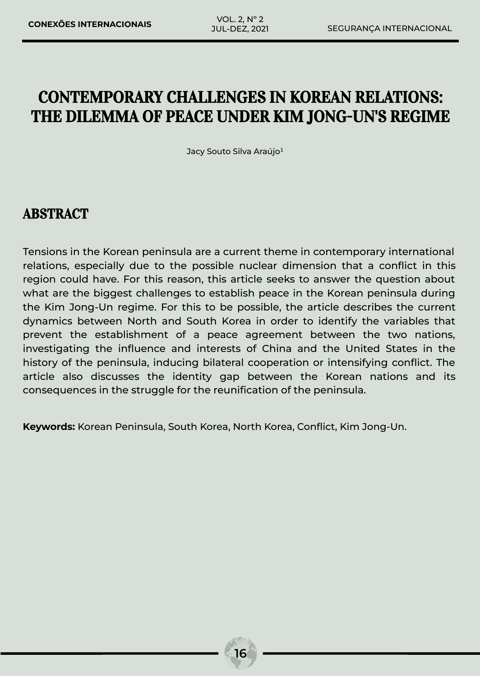# CONTEMPORARY CHALLENGES IN KOREAN RELATIONS: THE DILEMMA OF PEACE UNDER KIM JONG-UN'S REGIME

Jacy Souto Silva Araújo<sup>1</sup>

# ABSTRACT

Tensions in the Korean peninsula are a current theme in contemporary international relations, especially due to the possible nuclear dimension that a conflict in this region could have. For this reason, this article seeks to answer the question about what are the biggest challenges to establish peace in the Korean peninsula during the Kim Jong-Un regime. For this to be possible, the article describes the current dynamics between North and South Korea in order to identify the variables that prevent the establishment of a peace agreement between the two nations, investigating the influence and interests of China and the United States in the history of the peninsula, inducing bilateral cooperation or intensifying conflict. The article also discusses the identity gap between the Korean nations and its consequences in the struggle for the reunification of the peninsula.

**Keywords:** Korean Peninsula, South Korea, North Korea, Conflict, Kim Jong-Un.

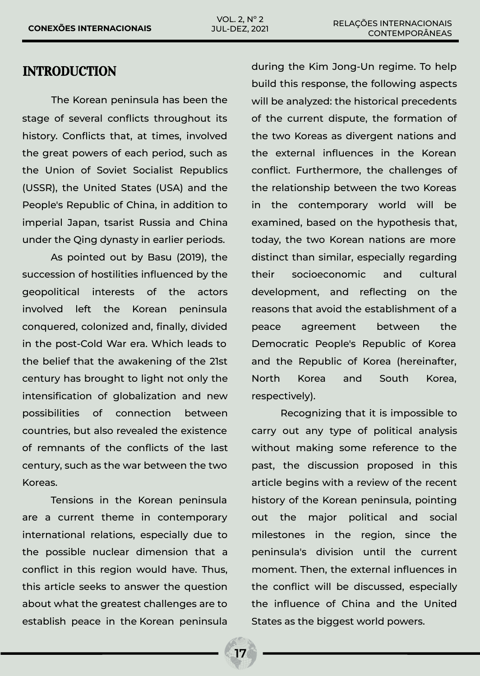### INTRODUCTION

The Korean peninsula has been the stage of several conflicts throughout its history. Conflicts that, at times, involved the great powers of each period, such as the Union of Soviet Socialist Republics (USSR), the United States (USA) and the People's Republic of China, in addition to imperial Japan, tsarist Russia and China under the Qing dynasty in earlier periods.

As pointed out by Basu (2019), the succession of hostilities influenced by the geopolitical interests of the actors involved left the Korean peninsula conquered, colonized and, finally, divided in the post-Cold War era. Which leads to the belief that the awakening of the 21st century has brought to light not only the intensification of globalization and new possibilities of connection between countries, but also revealed the existence of remnants of the conflicts of the last century, such as the war between the two Koreas.

Tensions in the Korean peninsula are a current theme in contemporary international relations, especially due to the possible nuclear dimension that a conflict in this region would have. Thus, this article seeks to answer the question about what the greatest challenges are to establish peace in the Korean peninsula

during the Kim Jong-Un regime. To help build this response, the following aspects will be analyzed: the historical precedents of the current dispute, the formation of the two Koreas as divergent nations and the external influences in the Korean conflict. Furthermore, the challenges of the relationship between the two Koreas in the contemporary world will be examined, based on the hypothesis that, today, the two Korean nations are more distinct than similar, especially regarding their socioeconomic and cultural development, and reflecting on the reasons that avoid the establishment of a peace agreement between the Democratic People's Republic of Korea and the Republic of Korea (hereinafter, North Korea and South Korea, respectively).

Recognizing that it is impossible to carry out any type of political analysis without making some reference to the past, the discussion proposed in this article begins with a review of the recent history of the Korean peninsula, pointing out the major political and social milestones in the region, since the peninsula's division until the current moment. Then, the external influences in the conflict will be discussed, especially the influence of China and the United States as the biggest world powers.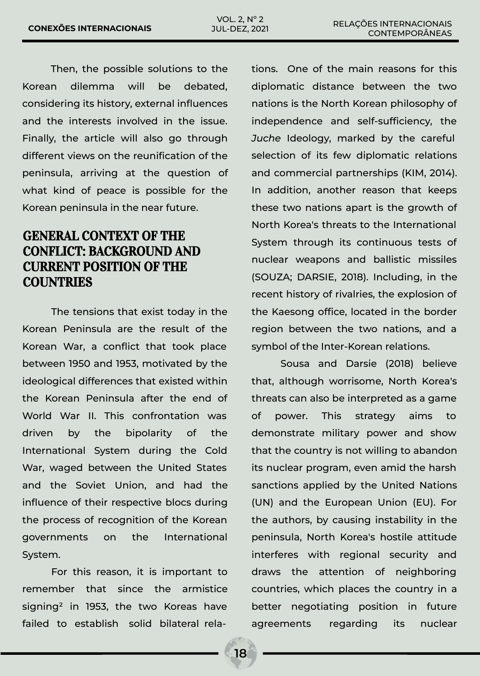Then, the possible solutions to the Korean dilemma will be debated, considering its history, external influences and the interests involved in the issue. Finally, the article will also go through different views on the reunification of the peninsula, arriving at the question of what kind of peace is possible for the Korean peninsula in the near future.

## GENERAL CONTEXT OF THE CONFLICT: BACKGROUND AND CURRENT POSITION OF THE **COUNTRIES**

The tensions that exist today in the Korean Peninsula are the result of the Korean War, a conflict that took place between 1950 and 1953, motivated by the ideological differences that existed within the Korean Peninsula after the end of World War II. This confrontation was driven by the bipolarity of the International System during the Cold War, waged between the United States and the Soviet Union, and had the influence of their respective blocs during the process of recognition of the Korean governments on the International System.

For this reason, it is important to remember that since the armistice signing² in 1953, the two Koreas have failed to establish solid bilateral relations. One of the main reasons for this diplomatic distance between the two nations is the North Korean philosophy of independence and self-sufficiency, the *Juche* Ideology, marked by the careful selection of its few diplomatic relations and commercial partnerships (KIM, 2014). In addition, another reason that keeps these two nations apart is the growth of North Korea's threats to the International System through its continuous tests of nuclear weapons and ballistic missiles (SOUZA; DARSIE, 2018). Including, in the recent history of rivalries, the explosion of the Kaesong office, located in the border region between the two nations, and a symbol of the Inter-Korean relations.

Sousa and Darsie (2018) believe that, although worrisome, North Korea's threats can also be interpreted as a game of power. This strategy aims to demonstrate military power and show that the country is not willing to abandon its nuclear program, even amid the harsh sanctions applied by the United Nations (UN) and the European Union (EU). For the authors, by causing instability in the peninsula, North Korea's hostile attitude interferes with regional security and draws the attention of neighboring countries, which places the country in a better negotiating position in future agreements regarding its nuclear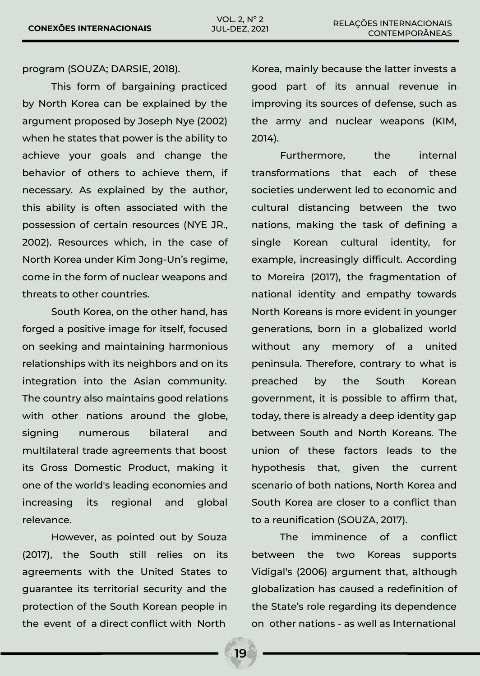program (SOUZA; DARSIE, 2018).

This form of bargaining practiced by North Korea can be explained by the argument proposed by Joseph Nye (2002) when he states that power is the ability to achieve your goals and change the behavior of others to achieve them, if necessary. As explained by the author, this ability is often associated with the possession of certain resources (NYE JR., 2002). Resources which, in the case of North Korea under Kim Jong-Un's regime, come in the form of nuclear weapons and threats to other countries.

South Korea, on the other hand, has forged a positive image for itself, focused on seeking and maintaining harmonious relationships with its neighbors and on its integration into the Asian community. The country also maintains good relations with other nations around the globe, signing numerous bilateral and multilateral trade agreements that boost its Gross Domestic Product, making it one of the world's leading economies and increasing its regional and global relevance.

However, as pointed out by Souza (2017), the South still relies on its agreements with the United States to guarantee its territorial security and the protection of the South Korean people in the event of a direct conflict with North

Korea, mainly because the latter invests a good part of its annual revenue in improving its sources of defense, such as the army and nuclear weapons (KIM, 2014).

Furthermore, the internal transformations that each of these societies underwent led to economic and cultural distancing between the two nations, making the task of defining a single Korean cultural identity, for example, increasingly difficult. According to Moreira (2017), the fragmentation of national identity and empathy towards North Koreans is more evident in younger generations, born in a globalized world without any memory of a united peninsula. Therefore, contrary to what is preached by the South Korean government, it is possible to affirm that, today, there is already a deep identity gap between South and North Koreans. The union of these factors leads to the hypothesis that, given the current scenario of both nations, North Korea and South Korea are closer to a conflict than to a reunification (SOUZA, 2017).

The imminence of a conflict between the two Koreas supports Vidigal's (2006) argument that, although globalization has caused a redefinition of the State's role regarding its dependence on other nations - as well as International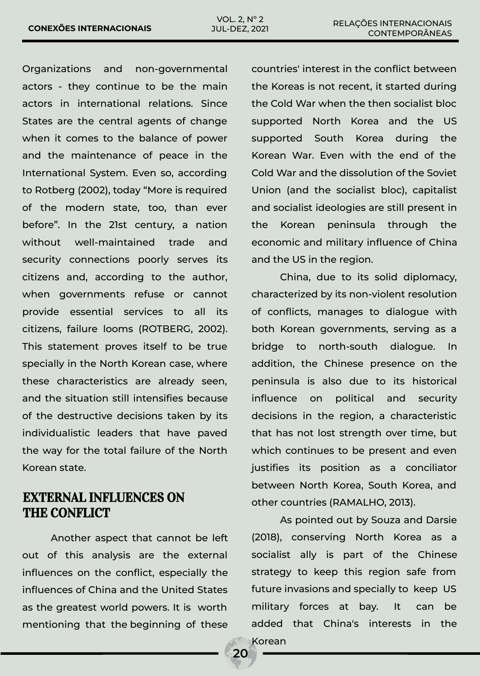Organizations and non-governmental actors - they continue to be the main actors in international relations. Since States are the central agents of change when it comes to the balance of power and the maintenance of peace in the International System. Even so, according to Rotberg (2002), today "More is required of the modern state, too, than ever before". In the 21st century, a nation without well-maintained trade and security connections poorly serves its citizens and, according to the author, when governments refuse or cannot provide essential services to all its citizens, failure looms (ROTBERG, 2002). This statement proves itself to be true specially in the North Korean case, where these characteristics are already seen, and the situation still intensifies because of the destructive decisions taken by its individualistic leaders that have paved the way for the total failure of the North Korean state.

## EXTERNAL INFLUENCES ON THE CONFLICT

Another aspect that cannot be left out of this analysis are the external influences on the conflict, especially the influences of China and the United States as the greatest world powers. It is worth mentioning that the beginning of these countries' interest in the conflict between the Koreas is not recent, it started during the Cold War when the then socialist bloc supported North Korea and the US supported South Korea during the Korean War. Even with the end of the Cold War and the dissolution of the Soviet Union (and the socialist bloc), capitalist and socialist ideologies are still present in the Korean peninsula through the economic and military influence of China and the US in the region.

China, due to its solid diplomacy, characterized by its non-violent resolution of conflicts, manages to dialogue with both Korean governments, serving as a bridge to north-south dialogue. In addition, the Chinese presence on the peninsula is also due to its historical influence on political and security decisions in the region, a characteristic that has not lost strength over time, but which continues to be present and even justifies its position as a conciliator between North Korea, South Korea, and other countries (RAMALHO, 2013).

As pointed out by Souza and Darsie (2018), conserving North Korea as a socialist ally is part of the Chinese strategy to keep this region safe from future invasions and specially to keep US military forces at bay. It can be added that China's interests in the Korean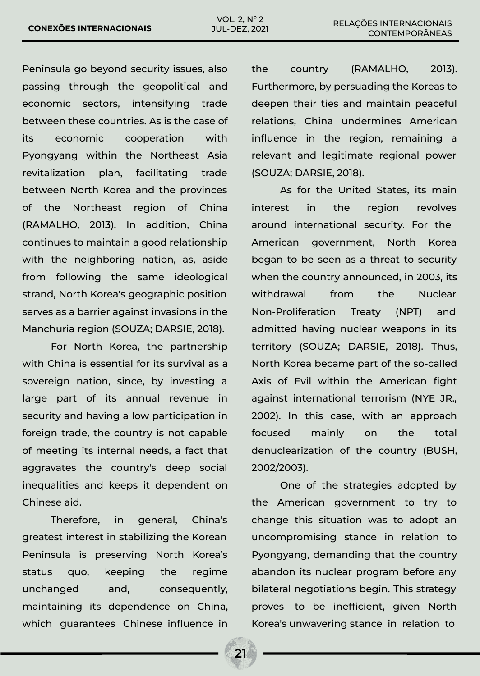Peninsula go beyond security issues, also passing through the geopolitical and economic sectors, intensifying trade between these countries. As is the case of its economic cooperation with Pyongyang within the Northeast Asia revitalization plan, facilitating trade between North Korea and the provinces of the Northeast region of China (RAMALHO, 2013). In addition, China continues to maintain a good relationship with the neighboring nation, as, aside from following the same ideological strand, North Korea's geographic position serves as a barrier against invasions in the Manchuria region (SOUZA; DARSIE, 2018).

For North Korea, the partnership with China is essential for its survival as a sovereign nation, since, by investing a large part of its annual revenue in security and having a low participation in foreign trade, the country is not capable of meeting its internal needs, a fact that aggravates the country's deep social inequalities and keeps it dependent on Chinese aid.

Therefore, in general, China's greatest interest in stabilizing the Korean Peninsula is preserving North Korea's status quo, keeping the regime unchanged and, consequently, maintaining its dependence on China, which guarantees Chinese influence in the country (RAMALHO, 2013). Furthermore, by persuading the Koreas to deepen their ties and maintain peaceful relations, China undermines American influence in the region, remaining a relevant and legitimate regional power (SOUZA; DARSIE, 2018).

As for the United States, its main interest in the region revolves around international security. For the American government, North Korea began to be seen as a threat to security when the country announced, in 2003, its withdrawal from the Nuclear Non-Proliferation Treaty (NPT) and admitted having nuclear weapons in its territory (SOUZA; DARSIE, 2018). Thus, North Korea became part of the so-called Axis of Evil within the American fight against international terrorism (NYE JR., 2002). In this case, with an approach focused mainly on the total denuclearization of the country (BUSH, 2002/2003).

One of the strategies adopted by the American government to try to change this situation was to adopt an uncompromising stance in relation to Pyongyang, demanding that the country abandon its nuclear program before any bilateral negotiations begin. This strategy proves to be inefficient, given North Korea's unwavering stance in relation to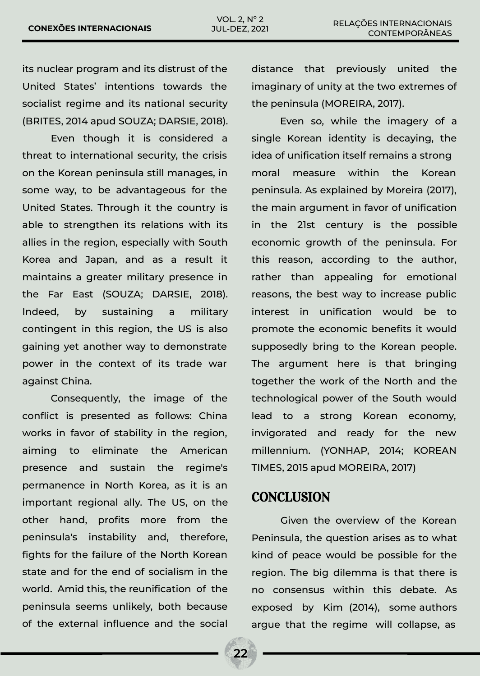its nuclear program and its distrust of the United States' intentions towards the socialist regime and its national security (BRITES, 2014 apud SOUZA; DARSIE, 2018).

Even though it is considered a threat to international security, the crisis on the Korean peninsula still manages, in some way, to be advantageous for the United States. Through it the country is able to strengthen its relations with its allies in the region, especially with South Korea and Japan, and as a result it maintains a greater military presence in the Far East (SOUZA; DARSIE, 2018). Indeed, by sustaining a military contingent in this region, the US is also gaining yet another way to demonstrate power in the context of its trade war against China.

Consequently, the image of the conflict is presented as follows: China works in favor of stability in the region, aiming to eliminate the American presence and sustain the regime's permanence in North Korea, as it is an important regional ally. The US, on the other hand, profits more from the peninsula's instability and, therefore, fights for the failure of the North Korean state and for the end of socialism in the world. Amid this, the reunification of the peninsula seems unlikely, both because of the external influence and the social distance that previously united the imaginary of unity at the two extremes of the peninsula (MOREIRA, 2017).

Even so, while the imagery of a single Korean identity is decaying, the idea of unification itself remains a strong moral measure within the Korean peninsula. As explained by Moreira (2017), the main argument in favor of unification in the 21st century is the possible economic growth of the peninsula. For this reason, according to the author, rather than appealing for emotional reasons, the best way to increase public interest in unification would be to promote the economic benefits it would supposedly bring to the Korean people. The argument here is that bringing together the work of the North and the technological power of the South would lead to a strong Korean economy, invigorated and ready for the new millennium. (YONHAP, 2014; KOREAN TIMES, 2015 apud MOREIRA, 2017)

#### **CONCLUSION**

Given the overview of the Korean Peninsula, the question arises as to what kind of peace would be possible for the region. The big dilemma is that there is no consensus within this debate. As exposed by Kim (2014), some authors argue that the regime will collapse, as

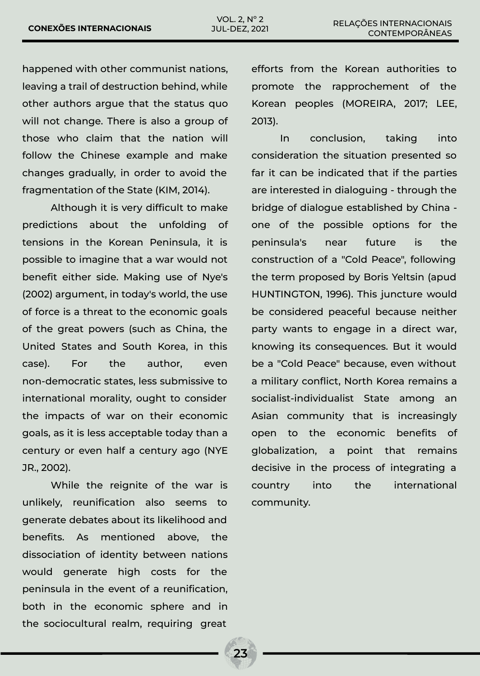happened with other communist nations, leaving a trail of destruction behind, while other authors argue that the status quo will not change. There is also a group of those who claim that the nation will follow the Chinese example and make changes gradually, in order to avoid the fragmentation of the State (KIM, 2014).

Although it is very difficult to make predictions about the unfolding of tensions in the Korean Peninsula, it is possible to imagine that a war would not benefit either side. Making use of Nye's (2002) argument, in today's world, the use of force is a threat to the economic goals of the great powers (such as China, the United States and South Korea, in this case). For the author, even non-democratic states, less submissive to international morality, ought to consider the impacts of war on their economic goals, as it is less acceptable today than a century or even half a century ago (NYE JR., 2002).

While the reignite of the war is unlikely, reunification also seems to generate debates about its likelihood and benefits. As mentioned above, the dissociation of identity between nations would generate high costs for the peninsula in the event of a reunification, both in the economic sphere and in the sociocultural realm, requiring great

efforts from the Korean authorities to promote the rapprochement of the Korean peoples (MOREIRA, 2017; LEE, 2013).

In conclusion, taking into consideration the situation presented so far it can be indicated that if the parties are interested in dialoguing - through the bridge of dialogue established by China one of the possible options for the peninsula's near future is the construction of a "Cold Peace", following the term proposed by Boris Yeltsin (apud HUNTINGTON, 1996). This juncture would be considered peaceful because neither party wants to engage in a direct war, knowing its consequences. But it would be a "Cold Peace" because, even without a military conflict, North Korea remains a socialist-individualist State among an Asian community that is increasingly open to the economic benefits of globalization, a point that remains decisive in the process of integrating a country into the international community.